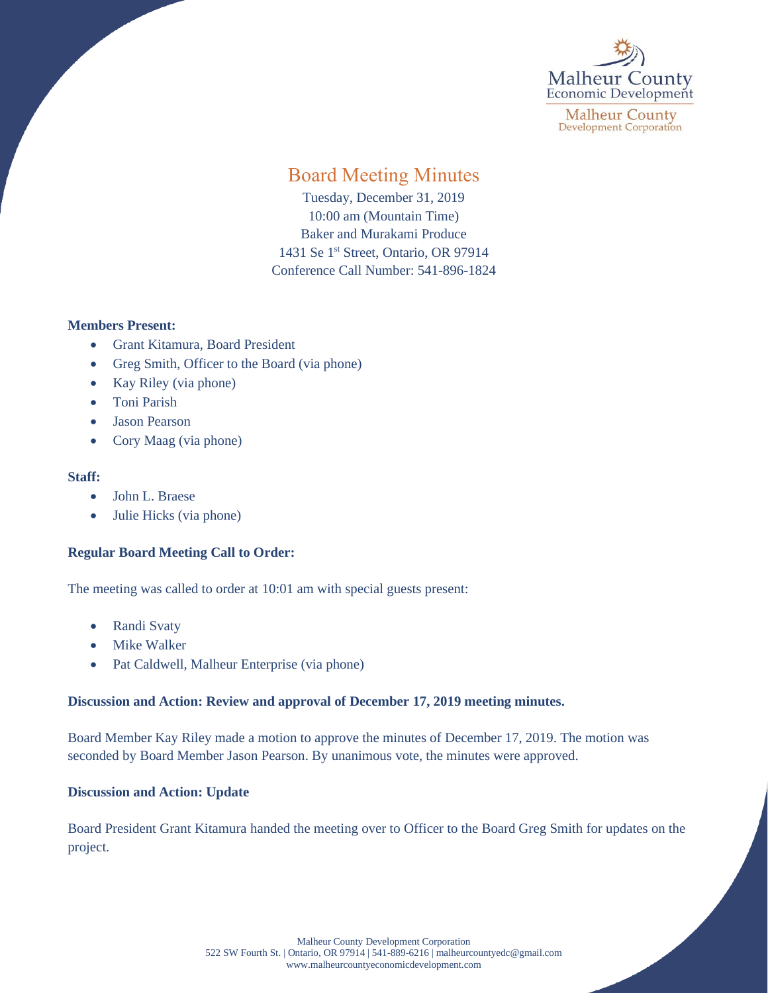

**Malheur County Development Corporation** 

# Board Meeting Minutes

Tuesday, December 31, 2019 10:00 am (Mountain Time) Baker and Murakami Produce 1431 Se 1<sup>st</sup> Street, Ontario, OR 97914 Conference Call Number: 541-896-1824

## **Members Present:**

- Grant Kitamura, Board President
- Greg Smith, Officer to the Board (via phone)
- Kay Riley (via phone)
- Toni Parish
- Jason Pearson
- Cory Maag (via phone)

#### **Staff:**

- John L. Braese
- Julie Hicks (via phone)

## **Regular Board Meeting Call to Order:**

The meeting was called to order at 10:01 am with special guests present:

- Randi Svaty
- **Mike Walker**
- Pat Caldwell, Malheur Enterprise (via phone)

## **Discussion and Action: Review and approval of December 17, 2019 meeting minutes.**

Board Member Kay Riley made a motion to approve the minutes of December 17, 2019. The motion was seconded by Board Member Jason Pearson. By unanimous vote, the minutes were approved.

## **Discussion and Action: Update**

Board President Grant Kitamura handed the meeting over to Officer to the Board Greg Smith for updates on the project.